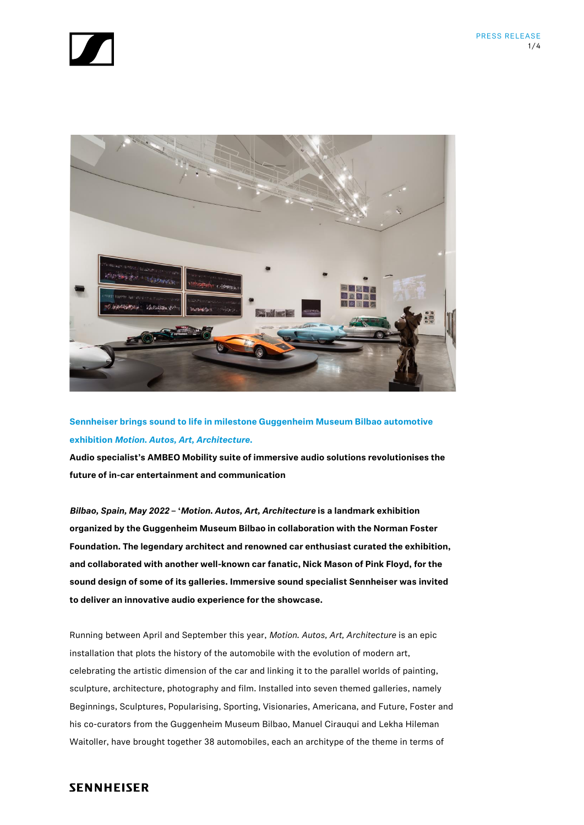



**Sennheiser brings sound to life in milestone Guggenheim Museum Bilbao automotive exhibition** *Motion. Autos, Art, Architecture.*

**Audio specialist's AMBEO Mobility suite of immersive audio solutions revolutionises the future of in-car entertainment and communication**

*Bilbao, Spain, May 2022* **– '***Motion. Autos, Art, Architecture* **is a landmark exhibition organized by the Guggenheim Museum Bilbao in collaboration with the Norman Foster Foundation. The legendary architect and renowned car enthusiast curated the exhibition, and collaborated with another well-known car fanatic, Nick Mason of Pink Floyd, for the sound design of some of its galleries. Immersive sound specialist Sennheiser was invited to deliver an innovative audio experience for the showcase.**

Running between April and September this year, *Motion. Autos, Art, Architecture* is an epic installation that plots the history of the automobile with the evolution of modern art, celebrating the artistic dimension of the car and linking it to the parallel worlds of painting, sculpture, architecture, photography and film. Installed into seven themed galleries, namely Beginnings, Sculptures, Popularising, Sporting, Visionaries, Americana, and Future, Foster and his co-curators from the Guggenheim Museum Bilbao, Manuel Cirauqui and Lekha Hileman Waitoller, have brought together 38 automobiles, each an architype of the theme in terms of

## **SENNHEISER**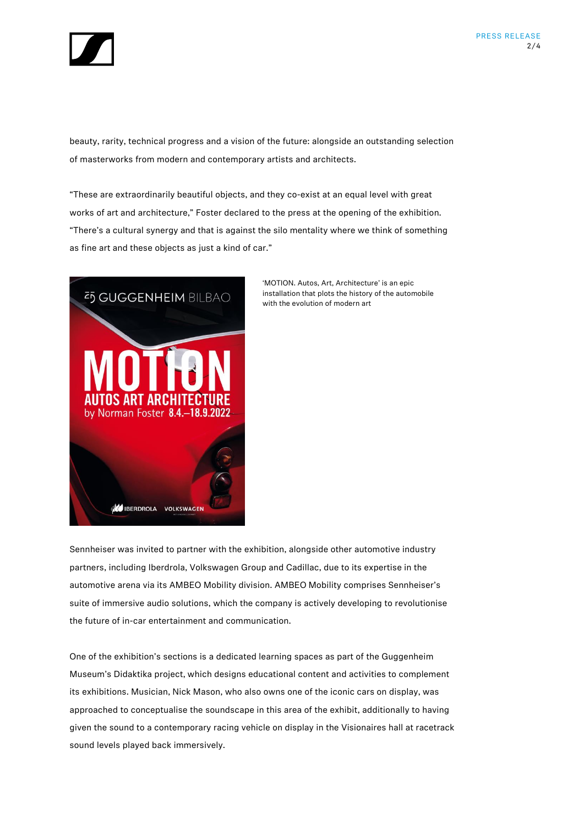

beauty, rarity, technical progress and a vision of the future: alongside an outstanding selection of masterworks from modern and contemporary artists and architects.

"These are extraordinarily beautiful objects, and they co-exist at an equal level with great works of art and architecture," Foster declared to the press at the opening of the exhibition. "There's a cultural synergy and that is against the silo mentality where we think of something as fine art and these objects as just a kind of car."



'MOTION. Autos, Art, Architecture' is an epic installation that plots the history of the automobile with the evolution of modern art

Sennheiser was invited to partner with the exhibition, alongside other automotive industry partners, including Iberdrola, Volkswagen Group and Cadillac, due to its expertise in the automotive arena via its AMBEO Mobility division. AMBEO Mobility comprises Sennheiser's suite of immersive audio solutions, which the company is actively developing to revolutionise the future of in-car entertainment and communication.

One of the exhibition's sections is a dedicated learning spaces as part of the Guggenheim Museum's Didaktika project, which designs educational content and activities to complement its exhibitions. Musician, Nick Mason, who also owns one of the iconic cars on display, was approached to conceptualise the soundscape in this area of the exhibit, additionally to having given the sound to a contemporary racing vehicle on display in the Visionaires hall at racetrack sound levels played back immersively.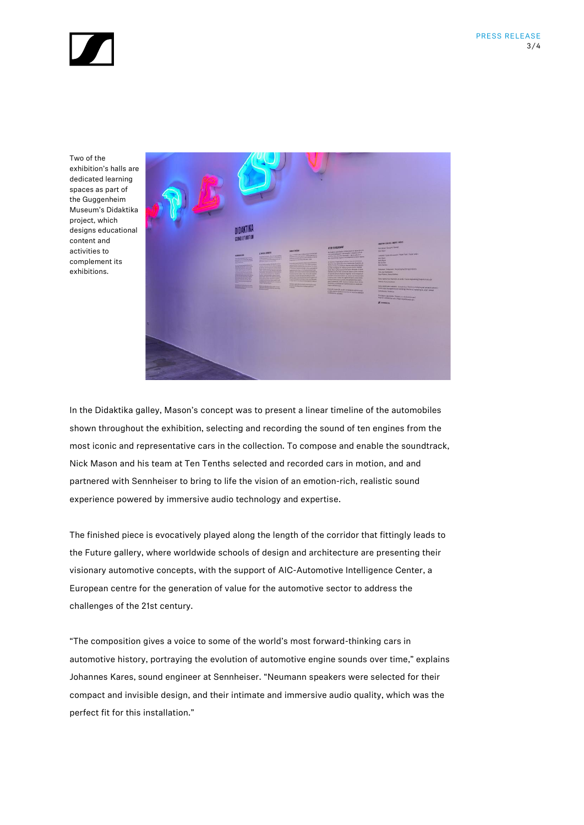

Two of the exhibition's halls are dedicated learning spaces as part of the Guggenheim Museum's Didaktika project, which designs educational content and activities to complement its exhibitions.



In the Didaktika galley, Mason's concept was to present a linear timeline of the automobiles shown throughout the exhibition, selecting and recording the sound of ten engines from the most iconic and representative cars in the collection. To compose and enable the soundtrack, Nick Mason and his team at Ten Tenths selected and recorded cars in motion, and and partnered with Sennheiser to bring to life the vision of an emotion-rich, realistic sound experience powered by immersive audio technology and expertise.

The finished piece is evocatively played along the length of the corridor that fittingly leads to the Future gallery, where worldwide schools of design and architecture are presenting their visionary automotive concepts, with the support of AIC-Automotive Intelligence Center, a European centre for the generation of value for the automotive sector to address the challenges of the 21st century.

"The composition gives a voice to some of the world's most forward-thinking cars in automotive history, portraying the evolution of automotive engine sounds over time," explains Johannes Kares, sound engineer at Sennheiser. "Neumann speakers were selected for their compact and invisible design, and their intimate and immersive audio quality, which was the perfect fit for this installation."